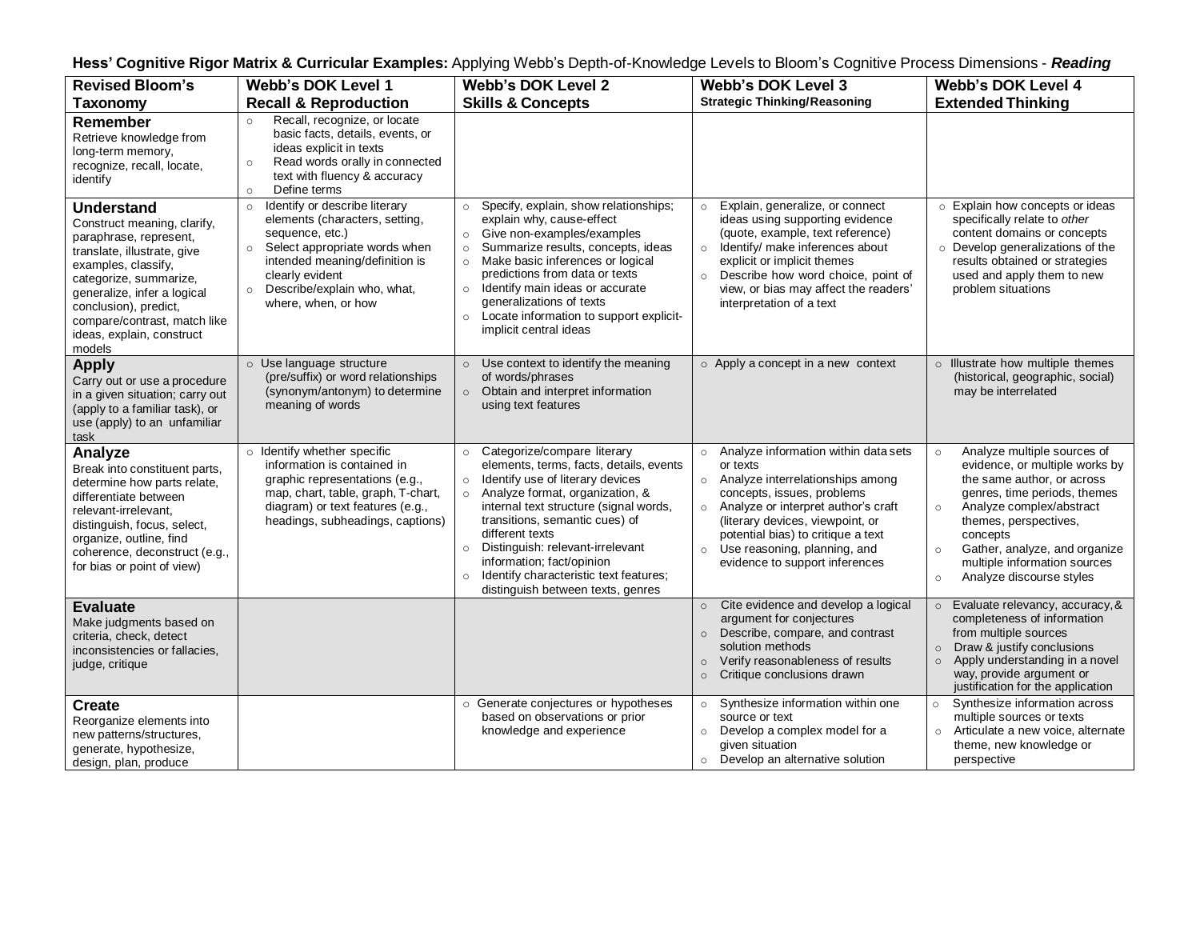| Hess' Cognitive Rigor Matrix & Curricular Examples: Applying Webb's Depth-of-Knowledge Levels to Bloom's Cognitive Process Dimensions - Reading                                                                                                                                           |                                                                                                                                                                                                                                                                 |                                                                                                                                                                                                                                                                                                                                                                                                                                                  |                                                                                                                                                                                                                                                                                                                                          |                                                                                                                                                                                                                                                                                                                                       |  |
|-------------------------------------------------------------------------------------------------------------------------------------------------------------------------------------------------------------------------------------------------------------------------------------------|-----------------------------------------------------------------------------------------------------------------------------------------------------------------------------------------------------------------------------------------------------------------|--------------------------------------------------------------------------------------------------------------------------------------------------------------------------------------------------------------------------------------------------------------------------------------------------------------------------------------------------------------------------------------------------------------------------------------------------|------------------------------------------------------------------------------------------------------------------------------------------------------------------------------------------------------------------------------------------------------------------------------------------------------------------------------------------|---------------------------------------------------------------------------------------------------------------------------------------------------------------------------------------------------------------------------------------------------------------------------------------------------------------------------------------|--|
| <b>Revised Bloom's</b><br><b>Taxonomy</b>                                                                                                                                                                                                                                                 | <b>Webb's DOK Level 1</b><br><b>Recall &amp; Reproduction</b>                                                                                                                                                                                                   | Webb's DOK Level 2<br><b>Skills &amp; Concepts</b>                                                                                                                                                                                                                                                                                                                                                                                               | <b>Webb's DOK Level 3</b><br><b>Strategic Thinking/Reasoning</b>                                                                                                                                                                                                                                                                         | <b>Webb's DOK Level 4</b><br><b>Extended Thinking</b>                                                                                                                                                                                                                                                                                 |  |
| Remember<br>Retrieve knowledge from<br>long-term memory,<br>recognize, recall, locate,<br>identify                                                                                                                                                                                        | Recall, recognize, or locate<br>$\circ$<br>basic facts, details, events, or<br>ideas explicit in texts<br>Read words orally in connected<br>$\circ$<br>text with fluency & accuracy<br>Define terms<br>$\circ$                                                  |                                                                                                                                                                                                                                                                                                                                                                                                                                                  |                                                                                                                                                                                                                                                                                                                                          |                                                                                                                                                                                                                                                                                                                                       |  |
| <b>Understand</b><br>Construct meaning, clarify,<br>paraphrase, represent,<br>translate, illustrate, give<br>examples, classify,<br>categorize, summarize,<br>generalize, infer a logical<br>conclusion), predict,<br>compare/contrast, match like<br>ideas, explain, construct<br>models | Identify or describe literary<br>$\circ$<br>elements (characters, setting,<br>sequence, etc.)<br>Select appropriate words when<br>$\circ$<br>intended meaning/definition is<br>clearly evident<br>Describe/explain who, what,<br>$\circ$<br>where, when, or how | o Specify, explain, show relationships;<br>explain why, cause-effect<br>Give non-examples/examples<br>$\circ$<br>Summarize results, concepts, ideas<br>$\circ$<br>Make basic inferences or logical<br>$\circ$<br>predictions from data or texts<br>Identify main ideas or accurate<br>$\circ$<br>generalizations of texts<br>o Locate information to support explicit-<br>implicit central ideas                                                 | Explain, generalize, or connect<br>$\circ$<br>ideas using supporting evidence<br>(quote, example, text reference)<br>Identify/ make inferences about<br>$\circ$<br>explicit or implicit themes<br>Describe how word choice, point of<br>$\circ$<br>view, or bias may affect the readers'<br>interpretation of a text                     | o Explain how concepts or ideas<br>specifically relate to other<br>content domains or concepts<br>o Develop generalizations of the<br>results obtained or strategies<br>used and apply them to new<br>problem situations                                                                                                              |  |
| <b>Apply</b><br>Carry out or use a procedure<br>in a given situation; carry out<br>(apply to a familiar task), or<br>use (apply) to an unfamiliar<br>task                                                                                                                                 | ○ Use language structure<br>(pre/suffix) or word relationships<br>(synonym/antonym) to determine<br>meaning of words                                                                                                                                            | $\circ$ Use context to identify the meaning<br>of words/phrases<br>o Obtain and interpret information<br>using text features                                                                                                                                                                                                                                                                                                                     | o Apply a concept in a new context                                                                                                                                                                                                                                                                                                       | o Illustrate how multiple themes<br>(historical, geographic, social)<br>may be interrelated                                                                                                                                                                                                                                           |  |
| Analyze<br>Break into constituent parts,<br>determine how parts relate,<br>differentiate between<br>relevant-irrelevant,<br>distinguish, focus, select,<br>organize, outline, find<br>coherence, deconstruct (e.g.,<br>for bias or point of view)                                         | o Identify whether specific<br>information is contained in<br>graphic representations (e.g.,<br>map, chart, table, graph, T-chart,<br>diagram) or text features (e.g.,<br>headings, subheadings, captions)                                                      | Categorize/compare literary<br>$\circ$<br>elements, terms, facts, details, events<br>Identify use of literary devices<br>$\circ$<br>$\circ$ Analyze format, organization, &<br>internal text structure (signal words,<br>transitions, semantic cues) of<br>different texts<br>Distinguish: relevant-irrelevant<br>$\circ$<br>information; fact/opinion<br>Identify characteristic text features;<br>$\circ$<br>distinguish between texts, genres | Analyze information within data sets<br>$\circ$<br>or texts<br>Analyze interrelationships among<br>$\circ$<br>concepts, issues, problems<br>o Analyze or interpret author's craft<br>(literary devices, viewpoint, or<br>potential bias) to critique a text<br>Use reasoning, planning, and<br>$\circ$<br>evidence to support inferences | Analyze multiple sources of<br>$\circ$<br>evidence, or multiple works by<br>the same author, or across<br>genres, time periods, themes<br>Analyze complex/abstract<br>$\circ$<br>themes, perspectives,<br>concepts<br>Gather, analyze, and organize<br>$\circ$<br>multiple information sources<br>Analyze discourse styles<br>$\circ$ |  |
| <b>Evaluate</b><br>Make judgments based on<br>criteria, check, detect<br>inconsistencies or fallacies,<br>judge, critique                                                                                                                                                                 |                                                                                                                                                                                                                                                                 |                                                                                                                                                                                                                                                                                                                                                                                                                                                  | Cite evidence and develop a logical<br>$\circ$<br>argument for conjectures<br>Describe, compare, and contrast<br>$\circ$<br>solution methods<br>Verify reasonableness of results<br>$\circ$<br>Critique conclusions drawn<br>$\circ$                                                                                                     | Evaluate relevancy, accuracy, &<br>$\circ$<br>completeness of information<br>from multiple sources<br>Draw & justify conclusions<br>$\circ$<br>Apply understanding in a novel<br>$\circ$<br>way, provide argument or<br>justification for the application                                                                             |  |
| <b>Create</b><br>Reorganize elements into<br>new patterns/structures,<br>generate, hypothesize,<br>design, plan, produce                                                                                                                                                                  |                                                                                                                                                                                                                                                                 | ○ Generate conjectures or hypotheses<br>based on observations or prior<br>knowledge and experience                                                                                                                                                                                                                                                                                                                                               | Synthesize information within one<br>$\circ$<br>source or text<br>Develop a complex model for a<br>$\circ$<br>given situation<br>Develop an alternative solution<br>$\circ$                                                                                                                                                              | Synthesize information across<br>$\circ$<br>multiple sources or texts<br>Articulate a new voice, alternate<br>$\circ$<br>theme, new knowledge or<br>perspective                                                                                                                                                                       |  |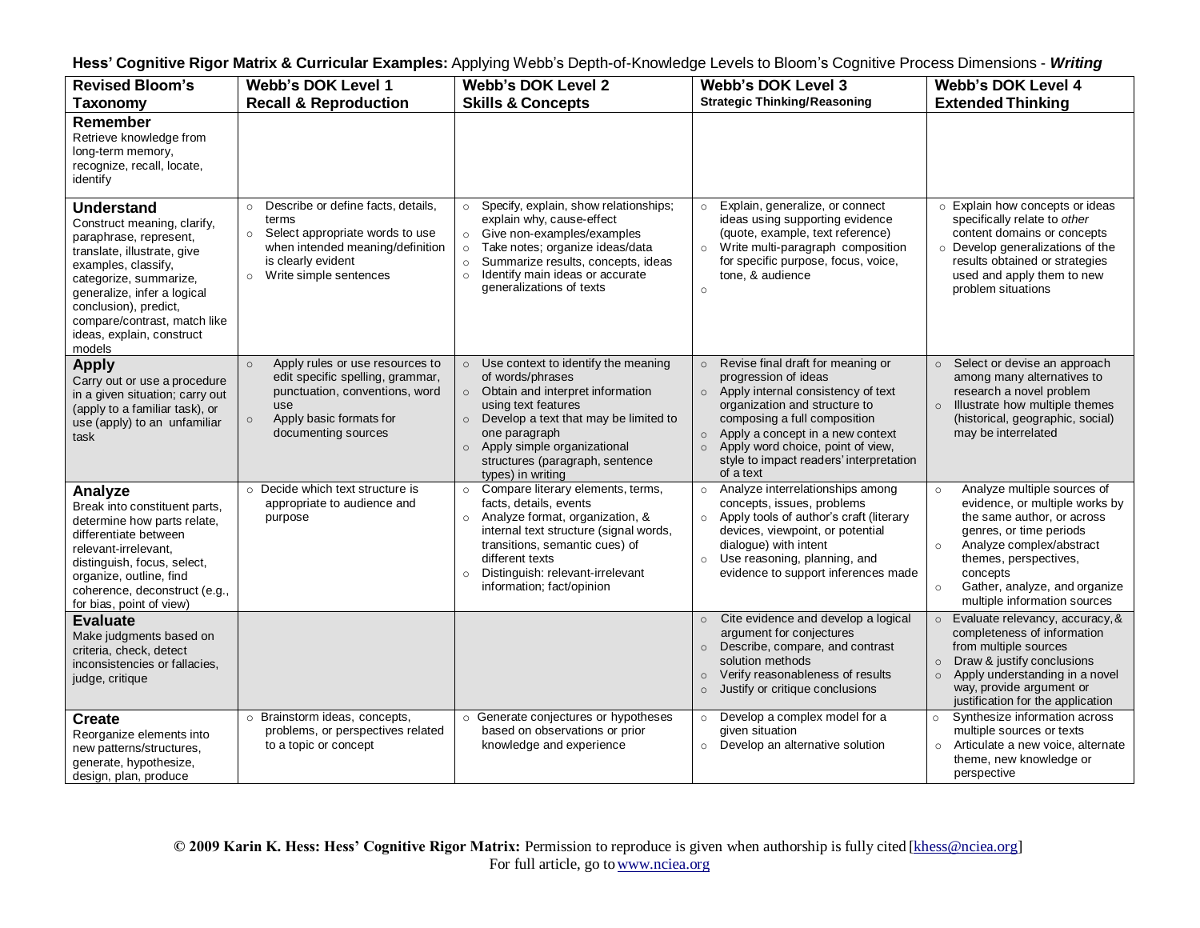| Hess' Cognitive Rigor Matrix & Curricular Examples: Applying Webb's Depth-of-Knowledge Levels to Bloom's Cognitive Process Dimensions - Writing |  |  |  |  |
|-------------------------------------------------------------------------------------------------------------------------------------------------|--|--|--|--|
|-------------------------------------------------------------------------------------------------------------------------------------------------|--|--|--|--|

| <b>Revised Bloom's</b>                                                                                                                                                                                                                                                                    | <b>Webb's DOK Level 1</b>                                                                                                                                                            | <b>Webb's DOK Level 2</b>                                                                                                                                                                                                                                                              | <b>Webb's DOK Level 3</b>                                                                                                                                                                                                                                                                                                            | Webb's DOK Level 4                                                                                                                                                                                                                                                                        |
|-------------------------------------------------------------------------------------------------------------------------------------------------------------------------------------------------------------------------------------------------------------------------------------------|--------------------------------------------------------------------------------------------------------------------------------------------------------------------------------------|----------------------------------------------------------------------------------------------------------------------------------------------------------------------------------------------------------------------------------------------------------------------------------------|--------------------------------------------------------------------------------------------------------------------------------------------------------------------------------------------------------------------------------------------------------------------------------------------------------------------------------------|-------------------------------------------------------------------------------------------------------------------------------------------------------------------------------------------------------------------------------------------------------------------------------------------|
| <b>Taxonomy</b>                                                                                                                                                                                                                                                                           | <b>Recall &amp; Reproduction</b>                                                                                                                                                     | <b>Skills &amp; Concepts</b>                                                                                                                                                                                                                                                           | <b>Strategic Thinking/Reasoning</b>                                                                                                                                                                                                                                                                                                  | <b>Extended Thinking</b>                                                                                                                                                                                                                                                                  |
| Remember<br>Retrieve knowledge from<br>long-term memory,<br>recognize, recall, locate,<br>identify                                                                                                                                                                                        |                                                                                                                                                                                      |                                                                                                                                                                                                                                                                                        |                                                                                                                                                                                                                                                                                                                                      |                                                                                                                                                                                                                                                                                           |
| <b>Understand</b><br>Construct meaning, clarify,<br>paraphrase, represent,<br>translate, illustrate, give<br>examples, classify,<br>categorize, summarize,<br>generalize, infer a logical<br>conclusion), predict,<br>compare/contrast, match like<br>ideas, explain, construct<br>models | o Describe or define facts, details,<br>terms<br>○ Select appropriate words to use<br>when intended meaning/definition<br>is clearly evident<br>$\circ$ Write simple sentences       | Specify, explain, show relationships;<br>$\circ$<br>explain why, cause-effect<br>o Give non-examples/examples<br>Take notes; organize ideas/data<br>$\circ$<br>Summarize results, concepts, ideas<br>$\circ$<br>Identify main ideas or accurate<br>$\circ$<br>generalizations of texts | Explain, generalize, or connect<br>$\circ$<br>ideas using supporting evidence<br>(quote, example, text reference)<br>o Write multi-paragraph composition<br>for specific purpose, focus, voice,<br>tone. & audience<br>$\circ$                                                                                                       | o Explain how concepts or ideas<br>specifically relate to other<br>content domains or concepts<br>o Develop generalizations of the<br>results obtained or strategies<br>used and apply them to new<br>problem situations                                                                  |
| <b>Apply</b><br>Carry out or use a procedure<br>in a given situation; carry out<br>(apply to a familiar task), or<br>use (apply) to an unfamiliar<br>task                                                                                                                                 | Apply rules or use resources to<br>$\circ$<br>edit specific spelling, grammar,<br>punctuation, conventions, word<br>use<br>Apply basic formats for<br>$\circ$<br>documenting sources | o Use context to identify the meaning<br>of words/phrases<br>o Obtain and interpret information<br>using text features<br>o Develop a text that may be limited to<br>one paragraph<br>o Apply simple organizational<br>structures (paragraph, sentence<br>types) in writing            | Revise final draft for meaning or<br>$\circ$<br>progression of ideas<br>o Apply internal consistency of text<br>organization and structure to<br>composing a full composition<br>Apply a concept in a new context<br>$\circ$<br>Apply word choice, point of view,<br>$\circ$<br>style to impact readers' interpretation<br>of a text | ○ Select or devise an approach<br>among many alternatives to<br>research a novel problem<br>o Illustrate how multiple themes<br>(historical, geographic, social)<br>may be interrelated                                                                                                   |
| Analyze<br>Break into constituent parts,<br>determine how parts relate,<br>differentiate between<br>relevant-irrelevant,<br>distinguish, focus, select,<br>organize, outline, find<br>coherence, deconstruct (e.g.,<br>for bias, point of view)                                           | $\circ$ Decide which text structure is<br>appropriate to audience and<br>purpose                                                                                                     | o Compare literary elements, terms,<br>facts, details, events<br>o Analyze format, organization, &<br>internal text structure (signal words,<br>transitions, semantic cues) of<br>different texts<br>Distinguish: relevant-irrelevant<br>$\circ$<br>information; fact/opinion          | Analyze interrelationships among<br>$\circ$<br>concepts, issues, problems<br>o Apply tools of author's craft (literary<br>devices, viewpoint, or potential<br>dialogue) with intent<br>Use reasoning, planning, and<br>$\circ$<br>evidence to support inferences made                                                                | Analyze multiple sources of<br>$\circ$<br>evidence, or multiple works by<br>the same author, or across<br>genres, or time periods<br>Analyze complex/abstract<br>$\circ$<br>themes, perspectives,<br>concepts<br>Gather, analyze, and organize<br>$\circ$<br>multiple information sources |
| <b>Evaluate</b><br>Make judgments based on<br>criteria, check, detect<br>inconsistencies or fallacies.<br>judge, critique                                                                                                                                                                 |                                                                                                                                                                                      |                                                                                                                                                                                                                                                                                        | Cite evidence and develop a logical<br>$\circ$<br>argument for conjectures<br>Describe, compare, and contrast<br>$\circ$<br>solution methods<br>Verify reasonableness of results<br>$\circ$<br>Justify or critique conclusions<br>$\circ$                                                                                            | $\circ$ Evaluate relevancy, accuracy, &<br>completeness of information<br>from multiple sources<br>Draw & justify conclusions<br>$\circ$<br>Apply understanding in a novel<br>$\circ$<br>way, provide argument or<br>justification for the application                                    |
| <b>Create</b><br>Reorganize elements into<br>new patterns/structures,<br>generate, hypothesize,<br>design, plan, produce                                                                                                                                                                  | o Brainstorm ideas, concepts,<br>problems, or perspectives related<br>to a topic or concept                                                                                          | o Generate conjectures or hypotheses<br>based on observations or prior<br>knowledge and experience                                                                                                                                                                                     | Develop a complex model for a<br>$\circ$<br>given situation<br>Develop an alternative solution<br>$\circ$                                                                                                                                                                                                                            | Synthesize information across<br>$\circ$<br>multiple sources or texts<br>Articulate a new voice, alternate<br>$\circ$<br>theme, new knowledge or<br>perspective                                                                                                                           |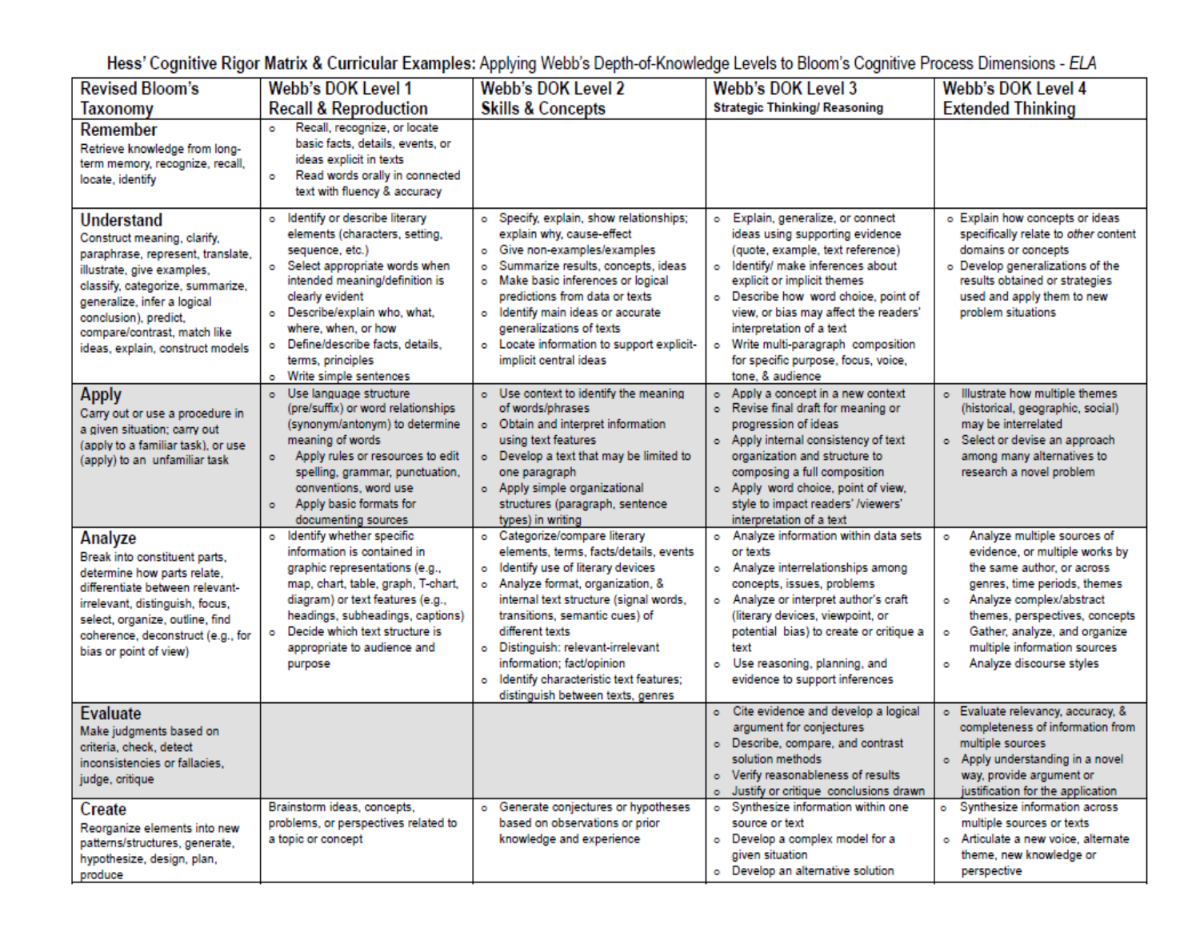Hess' Cognitive Rigor Matrix & Curricular Examples: Applying Webb's Depth-of-Knowledge Levels to Bloom's Cognitive Process Dimensions - ELA

| <b>Revised Bloom's</b>                                                                                                                                                                                                                                                       | Webb's DOK Level 1                                                                                                                                                                                                                                                                                                            | <b>Webb's DOK Level 2</b>                                                                                                                                                                                                                                                                                                                                                                             | Webb's DOK Level 3                                                                                                                                                                                                                                                                                                                                                                                | Webb's DOK Level 4                                                                                                                                                                                                                                                                                         |
|------------------------------------------------------------------------------------------------------------------------------------------------------------------------------------------------------------------------------------------------------------------------------|-------------------------------------------------------------------------------------------------------------------------------------------------------------------------------------------------------------------------------------------------------------------------------------------------------------------------------|-------------------------------------------------------------------------------------------------------------------------------------------------------------------------------------------------------------------------------------------------------------------------------------------------------------------------------------------------------------------------------------------------------|---------------------------------------------------------------------------------------------------------------------------------------------------------------------------------------------------------------------------------------------------------------------------------------------------------------------------------------------------------------------------------------------------|------------------------------------------------------------------------------------------------------------------------------------------------------------------------------------------------------------------------------------------------------------------------------------------------------------|
| Taxonomy                                                                                                                                                                                                                                                                     | <b>Recall &amp; Reproduction</b>                                                                                                                                                                                                                                                                                              | <b>Skills &amp; Concepts</b>                                                                                                                                                                                                                                                                                                                                                                          | <b>Strategic Thinking/ Reasoning</b>                                                                                                                                                                                                                                                                                                                                                              | <b>Extended Thinking</b>                                                                                                                                                                                                                                                                                   |
| Remember<br>Retrieve knowledge from long-<br>term memory, recognize, recall,<br>locate, identify                                                                                                                                                                             | Recall, recognize, or locate<br>$\circ$<br>basic facts, details, events, or<br>ideas explicit in texts<br>Read words orally in connected<br>۰<br>text with fluency & accuracy                                                                                                                                                 |                                                                                                                                                                                                                                                                                                                                                                                                       |                                                                                                                                                                                                                                                                                                                                                                                                   |                                                                                                                                                                                                                                                                                                            |
| Understand<br>Construct meaning, clarify,<br>paraphrase, represent, translate,<br>illustrate, give examples,<br>classify, categorize, summarize,<br>generalize, infer a logical<br>conclusion), predict,<br>compare/contrast, match like<br>ideas, explain, construct models | o Identify or describe literary<br>elements (characters, setting,<br>sequence, etc.)<br>o Select appropriate words when<br>intended meaning/definition is<br>clearly evident<br>o Describe/explain who, what,<br>where, when, or how<br>o Define/describe facts, details,<br>terms, principles<br>Write simple sentences<br>۰ | o Specify, explain, show relationships;<br>explain why, cause-effect<br>o Give non-examples/examples<br>Summarize results, concepts, ideas<br>۰<br>o Make basic inferences or logical<br>predictions from data or texts<br>o Identify main ideas or accurate<br>generalizations of texts<br>o Locate information to support explicit-<br>implicit central ideas                                       | Explain, generalize, or connect<br>۰<br>ideas using supporting evidence<br>(quote, example, text reference)<br>o Identify/ make inferences about<br>explicit or implicit themes<br>o Describe how word choice, point of<br>view, or bias may affect the readers'<br>interpretation of a text<br>Write multi-paragraph composition<br>۰<br>for specific purpose, focus, voice,<br>tone, & audience | o Explain how concepts or ideas<br>specifically relate to other content<br>domains or concepts<br>o Develop generalizations of the<br>results obtained or strategies<br>used and apply them to new<br>problem situations                                                                                   |
| <b>Apply</b><br>Carry out or use a procedure in<br>a given situation; carry out<br>(apply to a familiar task), or use<br>(apply) to an unfamiliar task                                                                                                                       | o Use language structure<br>(pre/suffix) or word relationships<br>(synonym/antonym) to determine<br>meaning of words<br>Apply rules or resources to edit<br>$\bullet$<br>spelling, grammar, punctuation,<br>conventions, word use<br>Apply basic formats for<br>$\bullet$<br>documenting sources                              | o Use context to identify the meaning<br>of words/phrases<br>o Obtain and interpret information<br>using text features<br>o Develop a text that may be limited to<br>one paragraph<br>o Apply simple organizational<br>structures (paragraph, sentence<br>types) in writing                                                                                                                           | Apply a concept in a new context<br>ö.<br>o Revise final draft for meaning or<br>progression of ideas<br>o Apply internal consistency of text<br>organization and structure to<br>composing a full composition<br>o Apply word choice, point of view,<br>style to impact readers' /viewers'<br>interpretation of a text                                                                           | o Illustrate how multiple themes<br>(historical, geographic, social)<br>may be interrelated<br>o Select or devise an approach<br>among many alternatives to<br>research a novel problem                                                                                                                    |
| Analyze<br>Break into constituent parts,<br>determine how parts relate,<br>differentiate between relevant-<br>irrelevant, distinguish, focus,<br>select, organize, outline, find<br>coherence, deconstruct (e.g., for<br>bias or point of view)                              | Identify whether specific<br>$\circ$<br>information is contained in<br>graphic representations (e.g.,<br>map, chart, table, graph, T-chart,<br>diagram) or text features (e.g.,<br>headings, subheadings, captions)<br>o Decide which text structure is<br>appropriate to audience and<br>purpose                             | o Categorize/compare literary<br>elements, terms, facts/details, events<br>o Identify use of literary devices<br>o Analyze format, organization, &<br>internal text structure (signal words,<br>transitions, semantic cues) of<br>different texts<br>o Distinguish: relevant-irrelevant<br>information: fact/opinion<br>o Identify characteristic text features;<br>distinguish between texts, genres | o Analyze information within data sets<br>or texts<br>o Analyze interrelationships among<br>concepts, issues, problems<br>o Analyze or interpret author's craft<br>(literary devices, viewpoint, or<br>potential bias) to create or critique a<br>text<br>o Use reasoning, planning, and<br>evidence to support inferences                                                                        | Analyze multiple sources of<br>۰<br>evidence, or multiple works by<br>the same author, or across<br>genres, time periods, themes<br>Analyze complex/abstract<br>ö<br>themes, perspectives, concepts<br>Gather, analyze, and organize<br>۰<br>multiple information sources<br>Analyze discourse styles<br>۰ |
| <b>Evaluate</b><br>Make judgments based on<br>criteria, check, detect<br>inconsistencies or fallacies.<br>judge, critique                                                                                                                                                    |                                                                                                                                                                                                                                                                                                                               |                                                                                                                                                                                                                                                                                                                                                                                                       | o Cite evidence and develop a logical<br>argument for conjectures<br>o Describe, compare, and contrast<br>solution methods<br>o Verify reasonableness of results<br>o Justify or critique conclusions drawn                                                                                                                                                                                       | o Evaluate relevancy, accuracy, &<br>completeness of information from<br>multiple sources<br>o Apply understanding in a novel<br>way, provide argument or<br>justification for the application                                                                                                             |
| Create<br>Reorganize elements into new<br>patterns/structures, generate,<br>hypothesize, design, plan,<br>produce                                                                                                                                                            | Brainstorm ideas, concepts,<br>problems, or perspectives related to<br>a topic or concept                                                                                                                                                                                                                                     | o Generate conjectures or hypotheses<br>based on observations or prior<br>knowledge and experience                                                                                                                                                                                                                                                                                                    | o Synthesize information within one<br>source or text<br>o Develop a complex model for a<br>given situation<br>o Develop an alternative solution                                                                                                                                                                                                                                                  | o Synthesize information across<br>multiple sources or texts<br>o Articulate a new voice, alternate<br>theme, new knowledge or<br>perspective                                                                                                                                                              |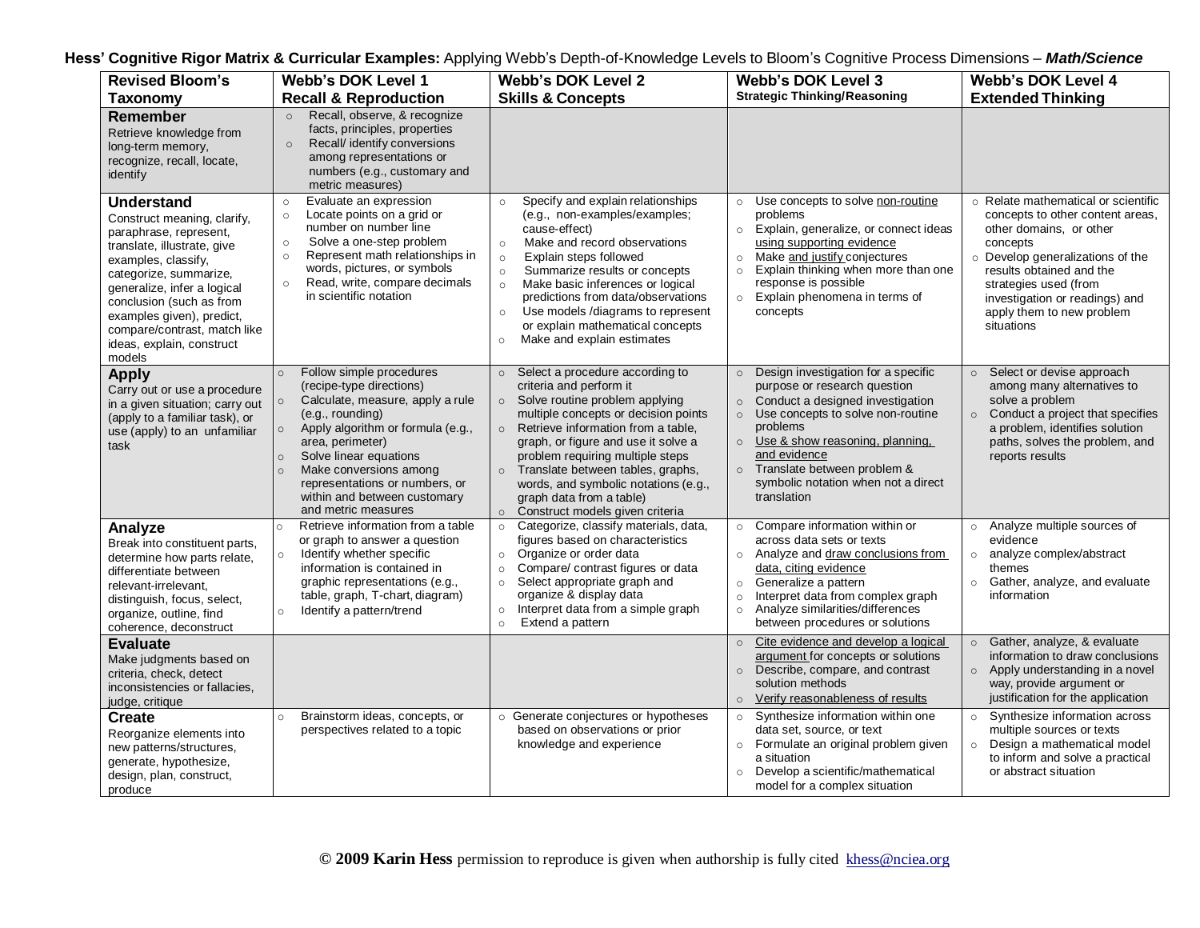| <b>Revised Bloom's</b>                                                                                                                                                                                                                                                                                                    | <b>Webb's DOK Level 1</b>                                                                                                                                                                                                                                                                                                                                                 | <b>Webb's DOK Level 2</b>                                                                                                                                                                                                                                                                                                                                                                                                                    | <b>Webb's DOK Level 3</b>                                                                                                                                                                                                                                                                                                 | Webb's DOK Level 4                                                                                                                                                                                                                                                                   |
|---------------------------------------------------------------------------------------------------------------------------------------------------------------------------------------------------------------------------------------------------------------------------------------------------------------------------|---------------------------------------------------------------------------------------------------------------------------------------------------------------------------------------------------------------------------------------------------------------------------------------------------------------------------------------------------------------------------|----------------------------------------------------------------------------------------------------------------------------------------------------------------------------------------------------------------------------------------------------------------------------------------------------------------------------------------------------------------------------------------------------------------------------------------------|---------------------------------------------------------------------------------------------------------------------------------------------------------------------------------------------------------------------------------------------------------------------------------------------------------------------------|--------------------------------------------------------------------------------------------------------------------------------------------------------------------------------------------------------------------------------------------------------------------------------------|
| <b>Taxonomy</b>                                                                                                                                                                                                                                                                                                           | <b>Recall &amp; Reproduction</b>                                                                                                                                                                                                                                                                                                                                          | <b>Skills &amp; Concepts</b>                                                                                                                                                                                                                                                                                                                                                                                                                 | <b>Strategic Thinking/Reasoning</b>                                                                                                                                                                                                                                                                                       | <b>Extended Thinking</b>                                                                                                                                                                                                                                                             |
| Remember<br>Retrieve knowledge from<br>long-term memory,<br>recognize, recall, locate,<br>identify                                                                                                                                                                                                                        | Recall, observe, & recognize<br>$\circ$<br>facts, principles, properties<br>Recall/ identify conversions<br>$\circ$<br>among representations or<br>numbers (e.g., customary and<br>metric measures)                                                                                                                                                                       |                                                                                                                                                                                                                                                                                                                                                                                                                                              |                                                                                                                                                                                                                                                                                                                           |                                                                                                                                                                                                                                                                                      |
| <b>Understand</b><br>Construct meaning, clarify,<br>paraphrase, represent,<br>translate, illustrate, give<br>examples, classify,<br>categorize, summarize,<br>generalize, infer a logical<br>conclusion (such as from<br>examples given), predict,<br>compare/contrast, match like<br>ideas, explain, construct<br>models | Evaluate an expression<br>$\circ$<br>Locate points on a grid or<br>$\circ$<br>number on number line<br>Solve a one-step problem<br>$\circ$<br>Represent math relationships in<br>$\circ$<br>words, pictures, or symbols<br>Read, write, compare decimals<br>$\circ$<br>in scientific notation                                                                             | Specify and explain relationships<br>$\circ$<br>(e.g., non-examples/examples;<br>cause-effect)<br>Make and record observations<br>$\circ$<br>Explain steps followed<br>$\circ$<br>Summarize results or concepts<br>$\circ$<br>Make basic inferences or logical<br>$\circ$<br>predictions from data/observations<br>Use models /diagrams to represent<br>$\circ$<br>or explain mathematical concepts<br>Make and explain estimates<br>$\circ$ | Use concepts to solve non-routine<br>$\circ$<br>problems<br>Explain, generalize, or connect ideas<br>$\circ$<br>using supporting evidence<br>Make and justify conjectures<br>$\circ$<br>Explain thinking when more than one<br>$\circ$<br>response is possible<br>o Explain phenomena in terms of<br>concepts             | ○ Relate mathematical or scientific<br>concepts to other content areas,<br>other domains, or other<br>concepts<br>o Develop generalizations of the<br>results obtained and the<br>strategies used (from<br>investigation or readings) and<br>apply them to new problem<br>situations |
| <b>Apply</b><br>Carry out or use a procedure<br>in a given situation; carry out<br>(apply to a familiar task), or<br>use (apply) to an unfamiliar<br>task                                                                                                                                                                 | Follow simple procedures<br>$\circ$<br>(recipe-type directions)<br>Calculate, measure, apply a rule<br>$\circ$<br>(e.g., rounding)<br>Apply algorithm or formula (e.g.,<br>$\circ$<br>area, perimeter)<br>Solve linear equations<br>$\circ$<br>Make conversions among<br>$\circ$<br>representations or numbers, or<br>within and between customary<br>and metric measures | Select a procedure according to<br>$\circ$<br>criteria and perform it<br>o Solve routine problem applying<br>multiple concepts or decision points<br>o Retrieve information from a table,<br>graph, or figure and use it solve a<br>problem requiring multiple steps<br>Translate between tables, graphs,<br>$\circ$<br>words, and symbolic notations (e.g.,<br>graph data from a table)<br>Construct models given criteria<br>$\circ$       | o Design investigation for a specific<br>purpose or research question<br>o Conduct a designed investigation<br>Use concepts to solve non-routine<br>$\circ$<br>problems<br>$\circ$ Use & show reasoning, planning,<br>and evidence<br>o Translate between problem &<br>symbolic notation when not a direct<br>translation | Select or devise approach<br>$\circ$<br>among many alternatives to<br>solve a problem<br>Conduct a project that specifies<br>$\circ$<br>a problem, identifies solution<br>paths, solves the problem, and<br>reports results                                                          |
| Analyze<br>Break into constituent parts,<br>determine how parts relate.<br>differentiate between<br>relevant-irrelevant,<br>distinguish, focus, select,<br>organize, outline, find<br>coherence, deconstruct                                                                                                              | Retrieve information from a table<br>$\circ$<br>or graph to answer a question<br>Identify whether specific<br>$\circ$<br>information is contained in<br>graphic representations (e.g.,<br>table, graph, T-chart, diagram)<br>Identify a pattern/trend<br>$\circ$                                                                                                          | Categorize, classify materials, data,<br>$\circ$<br>figures based on characteristics<br>Organize or order data<br>$\circ$<br>Compare/ contrast figures or data<br>$\circ$<br>Select appropriate graph and<br>$\circ$<br>organize & display data<br>Interpret data from a simple graph<br>$\circ$<br>Extend a pattern<br>$\circ$                                                                                                              | Compare information within or<br>$\circ$<br>across data sets or texts<br>o Analyze and draw conclusions from<br>data, citing evidence<br>Generalize a pattern<br>$\circ$<br>Interpret data from complex graph<br>$\circ$<br>Analyze similarities/differences<br>$\circ$<br>between procedures or solutions                | Analyze multiple sources of<br>$\circ$<br>evidence<br>analyze complex/abstract<br>$\circ$<br>themes<br>Gather, analyze, and evaluate<br>$\circ$<br>information                                                                                                                       |
| <b>Evaluate</b><br>Make judgments based on<br>criteria, check, detect<br>inconsistencies or fallacies,<br>judge, critique                                                                                                                                                                                                 |                                                                                                                                                                                                                                                                                                                                                                           |                                                                                                                                                                                                                                                                                                                                                                                                                                              | Cite evidence and develop a logical<br>$\circ$<br>argument for concepts or solutions<br>Describe, compare, and contrast<br>$\circ$<br>solution methods<br>Verify reasonableness of results<br>$\circ$                                                                                                                     | Gather, analyze, & evaluate<br>$\circ$<br>information to draw conclusions<br>Apply understanding in a novel<br>$\circ$<br>way, provide argument or<br>justification for the application                                                                                              |
| Create<br>Reorganize elements into<br>new patterns/structures,<br>generate, hypothesize,<br>design, plan, construct,<br>produce                                                                                                                                                                                           | Brainstorm ideas, concepts, or<br>$\circ$<br>perspectives related to a topic                                                                                                                                                                                                                                                                                              | o Generate conjectures or hypotheses<br>based on observations or prior<br>knowledge and experience                                                                                                                                                                                                                                                                                                                                           | Synthesize information within one<br>$\circ$<br>data set, source, or text<br>o Formulate an original problem given<br>a situation<br>Develop a scientific/mathematical<br>$\circ$<br>model for a complex situation                                                                                                        | Synthesize information across<br>$\circ$<br>multiple sources or texts<br>Design a mathematical model<br>$\circ$<br>to inform and solve a practical<br>or abstract situation                                                                                                          |

**Hess' Cognitive Rigor Matrix & Curricular Examples:** Applying Webb's Depth-of-Knowledge Levels to Bloom's Cognitive Process Dimensions – *Math/Science*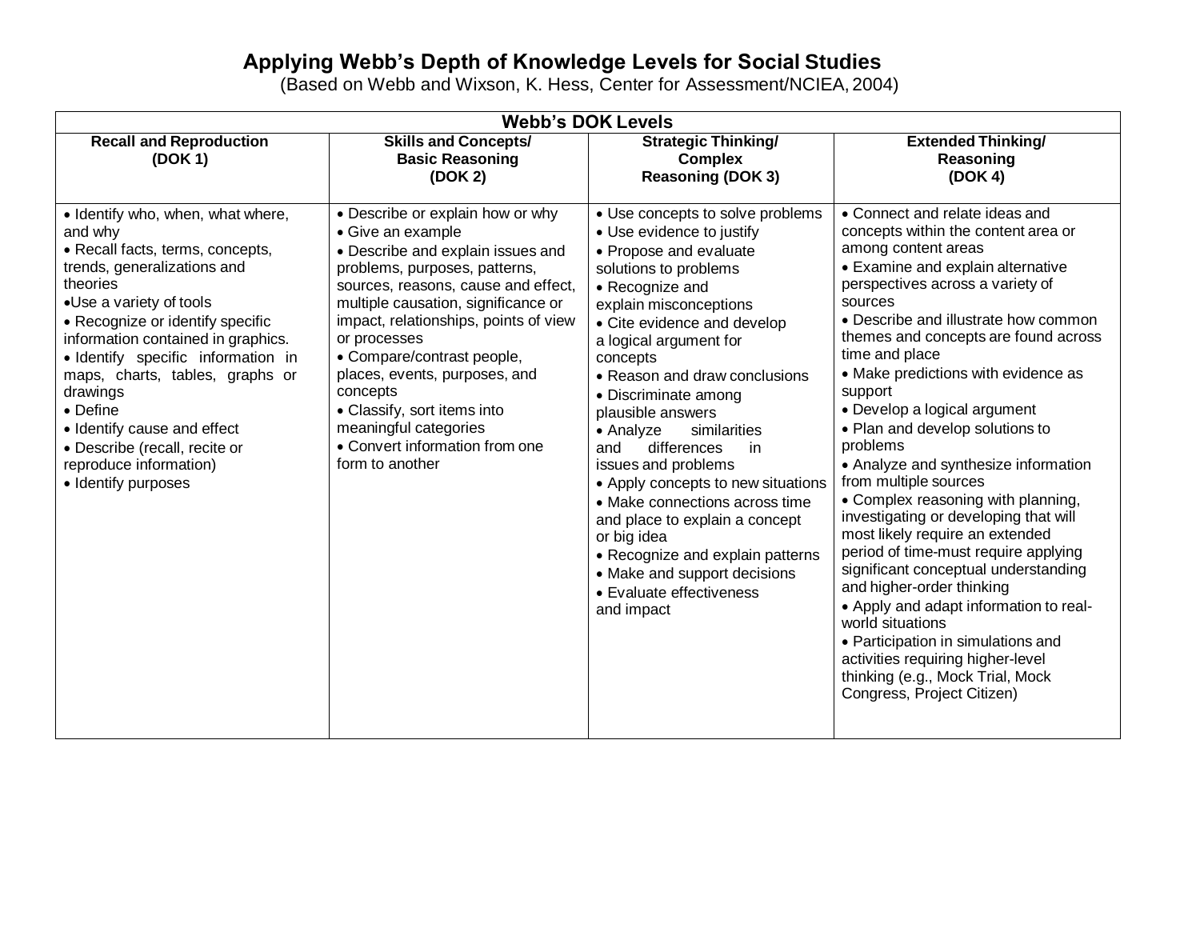# **Applying Webb's Depth of Knowledge Levels for Social Studies**

(Based on Webb and Wixson, K. Hess, Center for Assessment/NCIEA, 2004)

| <b>Webb's DOK Levels</b>                                                                                                                                                                                                                                                                                                                                                                                                                           |                                                                                                                                                                                                                                                                                                                                                                                                                                                            |                                                                                                                                                                                                                                                                                                                                                                                                                                                                                                                                                                                                                                         |                                                                                                                                                                                                                                                                                                                                                                                                                                                                                                                                                                                                                                                                                                                                                                                                                                                                                                                                |  |  |
|----------------------------------------------------------------------------------------------------------------------------------------------------------------------------------------------------------------------------------------------------------------------------------------------------------------------------------------------------------------------------------------------------------------------------------------------------|------------------------------------------------------------------------------------------------------------------------------------------------------------------------------------------------------------------------------------------------------------------------------------------------------------------------------------------------------------------------------------------------------------------------------------------------------------|-----------------------------------------------------------------------------------------------------------------------------------------------------------------------------------------------------------------------------------------------------------------------------------------------------------------------------------------------------------------------------------------------------------------------------------------------------------------------------------------------------------------------------------------------------------------------------------------------------------------------------------------|--------------------------------------------------------------------------------------------------------------------------------------------------------------------------------------------------------------------------------------------------------------------------------------------------------------------------------------------------------------------------------------------------------------------------------------------------------------------------------------------------------------------------------------------------------------------------------------------------------------------------------------------------------------------------------------------------------------------------------------------------------------------------------------------------------------------------------------------------------------------------------------------------------------------------------|--|--|
| <b>Recall and Reproduction</b><br>(DOK 1)                                                                                                                                                                                                                                                                                                                                                                                                          | <b>Skills and Concepts/</b><br><b>Basic Reasoning</b><br>(DOK 2)                                                                                                                                                                                                                                                                                                                                                                                           | <b>Strategic Thinking/</b><br><b>Complex</b><br><b>Reasoning (DOK 3)</b>                                                                                                                                                                                                                                                                                                                                                                                                                                                                                                                                                                | <b>Extended Thinking/</b><br>Reasoning<br>(DOK 4)                                                                                                                                                                                                                                                                                                                                                                                                                                                                                                                                                                                                                                                                                                                                                                                                                                                                              |  |  |
| • Identify who, when, what where,<br>and why<br>• Recall facts, terms, concepts,<br>trends, generalizations and<br>theories<br>•Use a variety of tools<br>• Recognize or identify specific<br>information contained in graphics.<br>· Identify specific information in<br>maps, charts, tables, graphs or<br>drawings<br>• Define<br>· Identify cause and effect<br>· Describe (recall, recite or<br>reproduce information)<br>• Identify purposes | • Describe or explain how or why<br>• Give an example<br>• Describe and explain issues and<br>problems, purposes, patterns,<br>sources, reasons, cause and effect,<br>multiple causation, significance or<br>impact, relationships, points of view<br>or processes<br>• Compare/contrast people,<br>places, events, purposes, and<br>concepts<br>• Classify, sort items into<br>meaningful categories<br>• Convert information from one<br>form to another | • Use concepts to solve problems<br>• Use evidence to justify<br>• Propose and evaluate<br>solutions to problems<br>• Recognize and<br>explain misconceptions<br>• Cite evidence and develop<br>a logical argument for<br>concepts<br>• Reason and draw conclusions<br>· Discriminate among<br>plausible answers<br>similarities<br>• Analyze<br>differences<br>and<br>in<br>issues and problems<br>• Apply concepts to new situations<br>• Make connections across time<br>and place to explain a concept<br>or big idea<br>• Recognize and explain patterns<br>• Make and support decisions<br>• Evaluate effectiveness<br>and impact | • Connect and relate ideas and<br>concepts within the content area or<br>among content areas<br>• Examine and explain alternative<br>perspectives across a variety of<br>sources<br>• Describe and illustrate how common<br>themes and concepts are found across<br>time and place<br>• Make predictions with evidence as<br>support<br>• Develop a logical argument<br>• Plan and develop solutions to<br>problems<br>• Analyze and synthesize information<br>from multiple sources<br>• Complex reasoning with planning,<br>investigating or developing that will<br>most likely require an extended<br>period of time-must require applying<br>significant conceptual understanding<br>and higher-order thinking<br>• Apply and adapt information to real-<br>world situations<br>• Participation in simulations and<br>activities requiring higher-level<br>thinking (e.g., Mock Trial, Mock<br>Congress, Project Citizen) |  |  |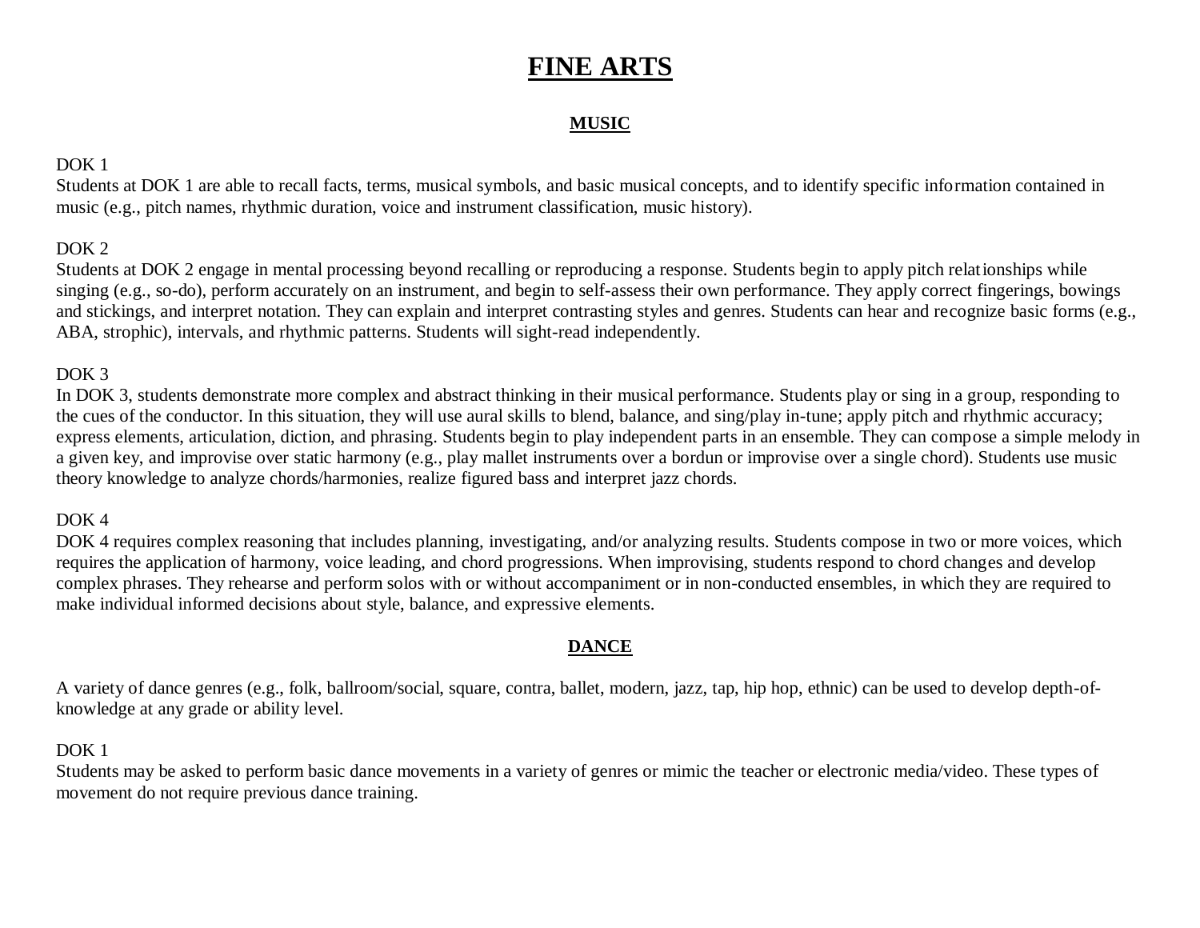# **FINE ARTS**

# **MUSIC**

# DOK<sub>1</sub>

Students at DOK 1 are able to recall facts, terms, musical symbols, and basic musical concepts, and to identify specific information contained in music (e.g., pitch names, rhythmic duration, voice and instrument classification, music history).

# DOK 2

Students at DOK 2 engage in mental processing beyond recalling or reproducing a response. Students begin to apply pitch relationships while singing (e.g., so-do), perform accurately on an instrument, and begin to self-assess their own performance. They apply correct fingerings, bowings and stickings, and interpret notation. They can explain and interpret contrasting styles and genres. Students can hear and recognize basic forms (e.g., ABA, strophic), intervals, and rhythmic patterns. Students will sight-read independently.

# DOK<sub>3</sub>

In DOK 3, students demonstrate more complex and abstract thinking in their musical performance. Students play or sing in a group, responding to the cues of the conductor. In this situation, they will use aural skills to blend, balance, and sing/play in-tune; apply pitch and rhythmic accuracy; express elements, articulation, diction, and phrasing. Students begin to play independent parts in an ensemble. They can compose a simple melody in a given key, and improvise over static harmony (e.g., play mallet instruments over a bordun or improvise over a single chord). Students use music theory knowledge to analyze chords/harmonies, realize figured bass and interpret jazz chords.

## DOK 4

DOK 4 requires complex reasoning that includes planning, investigating, and/or analyzing results. Students compose in two or more voices, which requires the application of harmony, voice leading, and chord progressions. When improvising, students respond to chord changes and develop complex phrases. They rehearse and perform solos with or without accompaniment or in non-conducted ensembles, in which they are required to make individual informed decisions about style, balance, and expressive elements.

## **DANCE**

A variety of dance genres (e.g., folk, ballroom/social, square, contra, ballet, modern, jazz, tap, hip hop, ethnic) can be used to develop depth-ofknowledge at any grade or ability level.

# DOK<sub>1</sub>

Students may be asked to perform basic dance movements in a variety of genres or mimic the teacher or electronic media/video. These types of movement do not require previous dance training.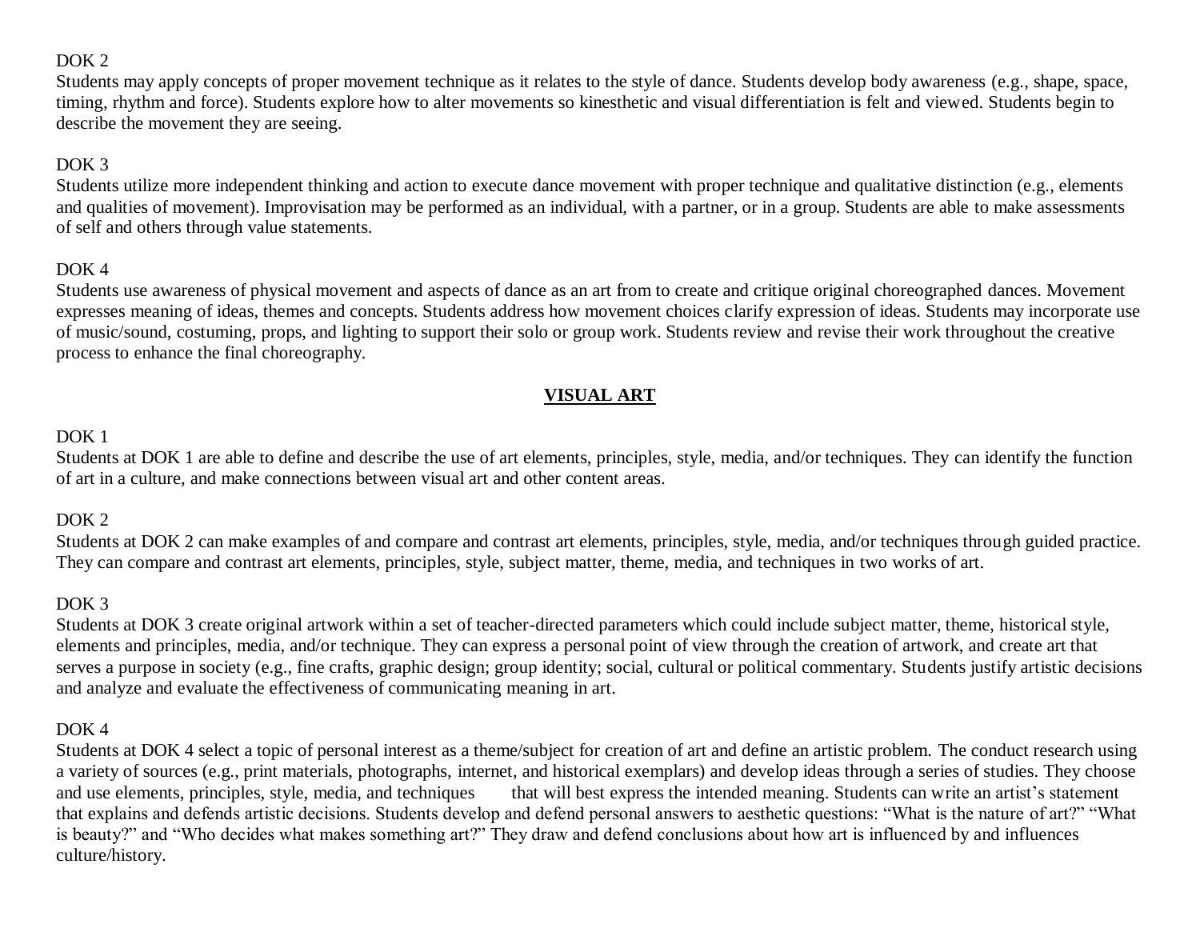# DOK<sub>2</sub>

Students may apply concepts of proper movement technique as it relates to the style of dance. Students develop body awareness (e.g., shape, space, timing, rhythm and force). Students explore how to alter movements so kinesthetic and visual differentiation is felt and viewed. Students begin to describe the movement they are seeing.

# DOK<sub>3</sub>

Students utilize more independent thinking and action to execute dance movement with proper technique and qualitative distinction (e.g., elements and qualities of movement). Improvisation may be performed as an individual, with a partner, or in a group. Students are able to make assessments of self and others through value statements.

#### DOK<sub>4</sub>

Students use awareness of physical movement and aspects of dance as an art from to create and critique original choreographed dances. Movement expresses meaning of ideas, themes and concepts. Students address how movement choices clarify expression of ideas. Students may incorporate use of music/sound, costuming, props, and lighting to support their solo or group work. Students review and revise their work throughout the creative process to enhance the final choreography.

# **VISUAL ART**

#### DOK 1

Students at DOK 1 are able to define and describe the use of art elements, principles, style, media, and/or techniques. They can identify the function of art in a culture, and make connections between visual art and other content areas.

#### DOK 2

Students at DOK 2 can make examples of and compare and contrast art elements, principles, style, media, and/or techniques through guided practice. They can compare and contrast art elements, principles, style, subject matter, theme, media, and techniques in two works of art.

#### DOK<sub>3</sub>

Students at DOK 3 create original artwork within a set of teacher-directed parameters which could include subject matter, theme, historical style, elements and principles, media, and/or technique. They can express a personal point of view through the creation of artwork, and create art that serves a purpose in society (e.g., fine crafts, graphic design; group identity; social, cultural or political commentary. Students justify artistic decisions and analyze and evaluate the effectiveness of communicating meaning in art.

#### DOK 4

Students at DOK 4 select a topic of personal interest as a theme/subject for creation of art and define an artistic problem. The conduct research using a variety of sources (e.g., print materials, photographs, internet, and historical exemplars) and develop ideas through a series of studies. They choose and use elements, principles, style, media, and techniques that will best express the intended meaning. Students can write an artist's statement that explains and defends artistic decisions. Students develop and defend personal answers to aesthetic questions: "What is the nature of art?" "What is beauty?" and "Who decides what makes something art?" They draw and defend conclusions about how art is influenced by and influences culture/history.